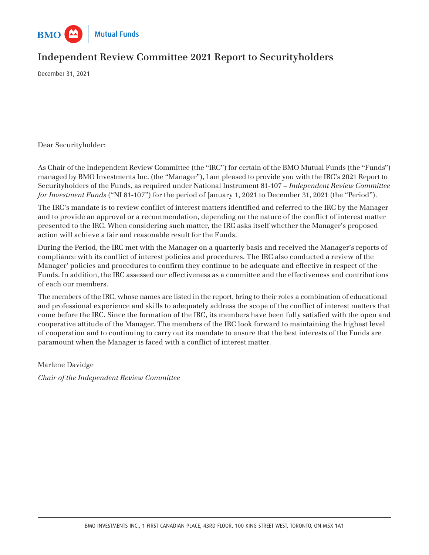

# **Independent Review Committee 2021 Report to Securityholders**

December 31, 2021

Dear Securityholder:

As Chair of the Independent Review Committee (the "IRC") for certain of the BMO Mutual Funds (the "Funds") managed by BMO Investments Inc. (the "Manager"), I am pleased to provide you with the IRC's 2021 Report to Securityholders of the Funds, as required under National Instrument 81-107 – *Independent Review Committee for Investment Funds* ("NI 81-107") for the period of January 1, 2021 to December 31, 2021 (the "Period").

The IRC's mandate is to review conflict of interest matters identified and referred to the IRC by the Manager and to provide an approval or a recommendation, depending on the nature of the conflict of interest matter presented to the IRC. When considering such matter, the IRC asks itself whether the Manager's proposed action will achieve a fair and reasonable result for the Funds.

During the Period, the IRC met with the Manager on a quarterly basis and received the Manager's reports of compliance with its conflict of interest policies and procedures. The IRC also conducted a review of the Manager' policies and procedures to confirm they continue to be adequate and effective in respect of the Funds. In addition, the IRC assessed our effectiveness as a committee and the effectiveness and contributions of each our members.

The members of the IRC, whose names are listed in the report, bring to their roles a combination of educational and professional experience and skills to adequately address the scope of the conflict of interest matters that come before the IRC. Since the formation of the IRC, its members have been fully satisfied with the open and cooperative attitude of the Manager. The members of the IRC look forward to maintaining the highest level of cooperation and to continuing to carry out its mandate to ensure that the best interests of the Funds are paramount when the Manager is faced with a conflict of interest matter.

Marlene Davidge *Chair of the Independent Review Committee*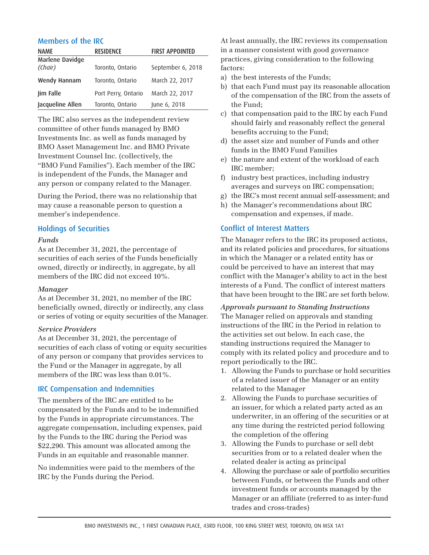| <b>NAME</b>                | <b>RESIDENCE</b>    | <b>FIRST APPOINTED</b> |
|----------------------------|---------------------|------------------------|
| Marlene Davidge<br>(Chair) | Toronto, Ontario    | September 6, 2018      |
| Wendy Hannam               | Toronto, Ontario    | March 22, 2017         |
| Jim Falle                  | Port Perry, Ontario | March 22, 2017         |
| Jacqueline Allen           | Toronto, Ontario    | June 6, 2018           |

The IRC also serves as the independent review committee of other funds managed by BMO Investments Inc. as well as funds managed by BMO Asset Management Inc. and BMO Private Investment Counsel Inc. (collectively, the "BMO Fund Families"). Each member of the IRC is independent of the Funds, the Manager and any person or company related to the Manager.

During the Period, there was no relationship that may cause a reasonable person to question a member's independence.

# Holdings of Securities

#### *Funds*

As at December 31, 2021, the percentage of securities of each series of the Funds beneficially owned, directly or indirectly, in aggregate, by all members of the IRC did not exceed 10%.

#### *Manager*

As at December 31, 2021, no member of the IRC beneficially owned, directly or indirectly, any class or series of voting or equity securities of the Manager.

#### *Service Providers*

As at December 31, 2021, the percentage of securities of each class of voting or equity securities of any person or company that provides services to the Fund or the Manager in aggregate, by all members of the IRC was less than 0.01%.

# IRC Compensation and Indemnities

The members of the IRC are entitled to be compensated by the Funds and to be indemnified by the Funds in appropriate circumstances. The aggregate compensation, including expenses, paid by the Funds to the IRC during the Period was \$22,290. This amount was allocated among the Funds in an equitable and reasonable manner.

No indemnities were paid to the members of the IRC by the Funds during the Period.

Members of the IRC At least annually, the IRC reviews its compensation in a manner consistent with good governance practices, giving consideration to the following factors:

- a) the best interests of the Funds;
- b) that each Fund must pay its reasonable allocation of the compensation of the IRC from the assets of the Fund;
- c) that compensation paid to the IRC by each Fund should fairly and reasonably reflect the general benefits accruing to the Fund;
- d) the asset size and number of Funds and other funds in the BMO Fund Families
- e) the nature and extent of the workload of each IRC member;
- f) industry best practices, including industry averages and surveys on IRC compensation;
- g) the IRC's most recent annual self-assessment; and
- h) the Manager's recommendations about IRC compensation and expenses, if made.

## Conflict of Interest Matters

The Manager refers to the IRC its proposed actions, and its related policies and procedures, for situations in which the Manager or a related entity has or could be perceived to have an interest that may conflict with the Manager's ability to act in the best interests of a Fund. The conflict of interest matters that have been brought to the IRC are set forth below.

*Approvals pursuant to Standing Instructions* The Manager relied on approvals and standing instructions of the IRC in the Period in relation to the activities set out below. In each case, the standing instructions required the Manager to comply with its related policy and procedure and to report periodically to the IRC.

- 1. Allowing the Funds to purchase or hold securities of a related issuer of the Manager or an entity related to the Manager
- 2. Allowing the Funds to purchase securities of an issuer, for which a related party acted as an underwriter, in an offering of the securities or at any time during the restricted period following the completion of the offering
- 3. Allowing the Funds to purchase or sell debt securities from or to a related dealer when the related dealer is acting as principal
- 4. Allowing the purchase or sale of portfolio securities between Funds, or between the Funds and other investment funds or accounts managed by the Manager or an affiliate (referred to as inter-fund trades and cross-trades)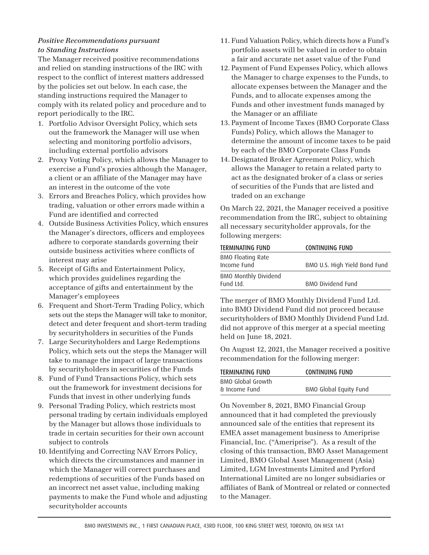# *Positive Recommendations pursuant to Standing Instructions*

The Manager received positive recommendations and relied on standing instructions of the IRC with respect to the conflict of interest matters addressed by the policies set out below. In each case, the standing instructions required the Manager to comply with its related policy and procedure and to report periodically to the IRC.

- 1. Portfolio Advisor Oversight Policy, which sets out the framework the Manager will use when selecting and monitoring portfolio advisors, including external portfolio advisors
- 2. Proxy Voting Policy, which allows the Manager to exercise a Fund's proxies although the Manager, a client or an affiliate of the Manager may have an interest in the outcome of the vote
- 3. Errors and Breaches Policy, which provides how trading, valuation or other errors made within a Fund are identified and corrected
- 4. Outside Business Activities Policy, which ensures the Manager's directors, officers and employees adhere to corporate standards governing their outside business activities where conflicts of interest may arise
- 5. Receipt of Gifts and Entertainment Policy, which provides guidelines regarding the acceptance of gifts and entertainment by the Manager's employees
- 6. Frequent and Short-Term Trading Policy, which sets out the steps the Manager will take to monitor, detect and deter frequent and short-term trading by securityholders in securities of the Funds
- 7. Large Securityholders and Large Redemptions Policy, which sets out the steps the Manager will take to manage the impact of large transactions by securityholders in securities of the Funds
- 8. Fund of Fund Transactions Policy, which sets out the framework for investment decisions for Funds that invest in other underlying funds
- 9. Personal Trading Policy, which restricts most personal trading by certain individuals employed by the Manager but allows those individuals to trade in certain securities for their own account subject to controls
- 10. Identifying and Correcting NAV Errors Policy, which directs the circumstances and manner in which the Manager will correct purchases and redemptions of securities of the Funds based on an incorrect net asset value, including making payments to make the Fund whole and adjusting securityholder accounts
- 11. Fund Valuation Policy, which directs how a Fund's portfolio assets will be valued in order to obtain a fair and accurate net asset value of the Fund
- 12. Payment of Fund Expenses Policy, which allows the Manager to charge expenses to the Funds, to allocate expenses between the Manager and the Funds, and to allocate expenses among the Funds and other investment funds managed by the Manager or an affiliate
- 13. Payment of Income Taxes (BMO Corporate Class Funds) Policy, which allows the Manager to determine the amount of income taxes to be paid by each of the BMO Corporate Class Funds
- 14. Designated Broker Agreement Policy, which allows the Manager to retain a related party to act as the designated broker of a class or series of securities of the Funds that are listed and traded on an exchange

On March 22, 2021, the Manager received a positive recommendation from the IRC, subject to obtaining all necessary securityholder approvals, for the following mergers:

| <b>TERMINATING FUND</b>     | CONTINUING FUND               |
|-----------------------------|-------------------------------|
| <b>BMO Floating Rate</b>    |                               |
| Income Fund                 | BMO U.S. High Yield Bond Fund |
| <b>BMO Monthly Dividend</b> |                               |
| Fund Ltd.                   | BMO Dividend Fund             |

The merger of BMO Monthly Dividend Fund Ltd. into BMO Dividend Fund did not proceed because securityholders of BMO Monthly Dividend Fund Ltd. did not approve of this merger at a special meeting held on June 18, 2021.

On August 12, 2021, the Manager received a positive recommendation for the following merger:

| <b>TERMINATING FUND</b> | CONTINUING FUND        |
|-------------------------|------------------------|
| BMO Global Growth       |                        |
| & Income Fund           | BMO Global Equity Fund |

On November 8, 2021, BMO Financial Group announced that it had completed the previously announced sale of the entities that represent its EMEA asset management business to Ameriprise Financial, Inc. ("Ameriprise"). As a result of the closing of this transaction, BMO Asset Management Limited, BMO Global Asset Management (Asia) Limited, LGM Investments Limited and Pyrford International Limited are no longer subsidiaries or affiliates of Bank of Montreal or related or connected to the Manager.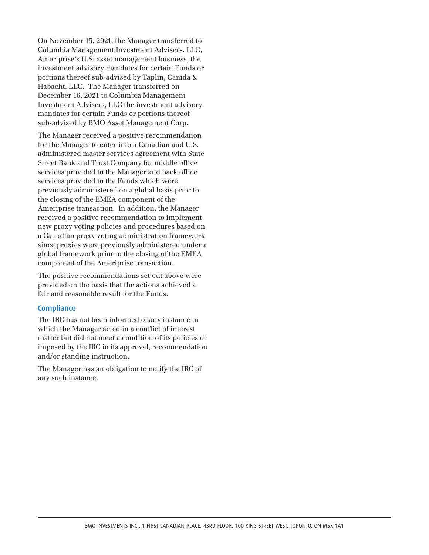On November 15, 2021, the Manager transferred to Columbia Management Investment Advisers, LLC, Ameriprise's U.S. asset management business, the investment advisory mandates for certain Funds or portions thereof sub-advised by Taplin, Canida & Habacht, LLC. The Manager transferred on December 16, 2021 to Columbia Management Investment Advisers, LLC the investment advisory mandates for certain Funds or portions thereof sub-advised by BMO Asset Management Corp.

The Manager received a positive recommendation for the Manager to enter into a Canadian and U.S. administered master services agreement with State Street Bank and Trust Company for middle office services provided to the Manager and back office services provided to the Funds which were previously administered on a global basis prior to the closing of the EMEA component of the Ameriprise transaction. In addition, the Manager received a positive recommendation to implement new proxy voting policies and procedures based on a Canadian proxy voting administration framework since proxies were previously administered under a global framework prior to the closing of the EMEA component of the Ameriprise transaction.

The positive recommendations set out above were provided on the basis that the actions achieved a fair and reasonable result for the Funds.

#### **Compliance**

The IRC has not been informed of any instance in which the Manager acted in a conflict of interest matter but did not meet a condition of its policies or imposed by the IRC in its approval, recommendation and/or standing instruction.

The Manager has an obligation to notify the IRC of any such instance.